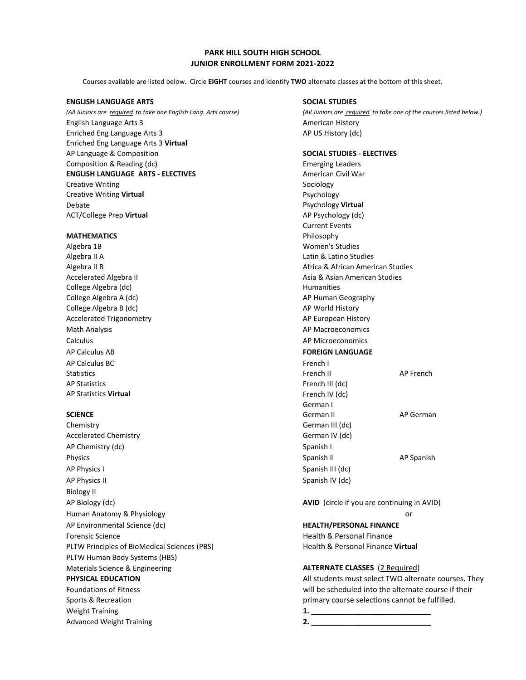# **PARK HILL SOUTH HIGH SCHOOL JUNIOR ENROLLMENT FORM 2021-2022**

Courses available are listed below. Circle **EIGHT** courses and identify **TWO** alternate classes at the bottom of this sheet.

## **ENGLISH LANGUAGE ARTS SOCIAL STUDIES**

English Language Arts 3 American History Enriched Eng Language Arts 3 AP US History (dc) Enriched Eng Language Arts 3 **Virtual**  AP Language & Composition **SOCIAL STUDIES - ELECTIVES** Composition & Reading (dc) example a composition & Reading (dc) **ENGLISH LANGUAGE ARTS - ELECTIVES** American Civil War Creative Writing **Sociology** Sociology **Creative Writing Virtual Psychology** Debate Psychology **Virtual**  ACT/College Prep **Virtual** AP Psychology (dc)

## **MATHEMATICS** Philosophy

Algebra 1B Women's Studies Algebra II A Latin & Latino Studies College Algebra (dc) and the college Algebra (dc) College Algebra A (dc) **AP Human Geography AP Human Geography** College Algebra B (dc) **AP World History** AP World History Accelerated Trigonometry **AP European History** AP European History Math Analysis **AP Macroeconomics** AP Macroeconomics Calculus AP Microeconomics AP Calculus AB **FOREIGN LANGUAGE** AP Calculus BC French I AP Statistics **French III** (dc) AP Statistics **Virtual** French IV (dc)

Chemistry German III (dc) Accelerated Chemistry **German IV** (dc) AP Chemistry (dc) Spanish I Physics Spanish II AP Spanish AP Physics I Spanish III (dc) AP Physics II Spanish IV (dc) and the spanish IV (dc) and the spanish IV (dc) Biology II AP Biology (dc) **AVID** (circle if you are continuing in AVID) Human Anatomy & Physiology or AP Environmental Science (dc) **HEALTH/PERSONAL FINANCE** Forensic Science **Health & Personal Finance Health & Personal Finance** PLTW Principles of BioMedical Sciences (PBS) Health & Personal Finance Virtual PLTW Human Body Systems (HBS) Materials Science & Engineering **ALTERNATE CLASSES** (2 Required) Weight Training **1. \_\_\_\_\_\_\_\_\_\_\_\_\_\_\_\_\_\_\_\_\_\_\_\_\_\_\_\_\_** Advanced Weight Training **2. \_\_\_\_\_\_\_\_\_\_\_\_\_\_\_\_\_\_\_\_\_\_\_\_\_\_\_\_\_**

*(All Juniors are required to take one English Lang. Arts course) (All Juniors are required to take one of the courses listed below.)*

Current Events Algebra II B **Africa & African American Studies** African American Studies Accelerated Algebra II Asia & Asian American Studies Statistics Application of the Statistics Application of the Statistics Application of the Statistics Application of the Statistics Application of the Statistics Application of the Statistics Application of the Statistics A German I **SCIENCE** And AP German II AP German II AP German II AP German II AP German II AP German II AP German II AP German

**PHYSICAL EDUCATION All students must select TWO alternate courses. They** Foundations of Fitness will be scheduled into the alternate course if their Sports & Recreation **primary course selections cannot be fulfilled**.